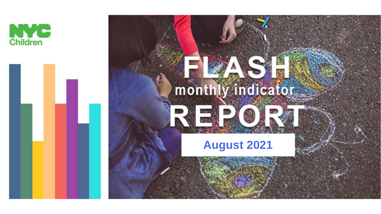

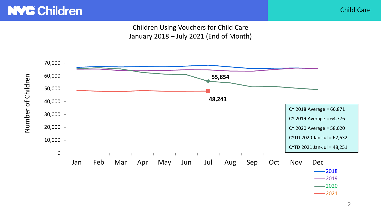## Children Using Vouchers for Child Care January 2018 – July 2021 (End of Month)

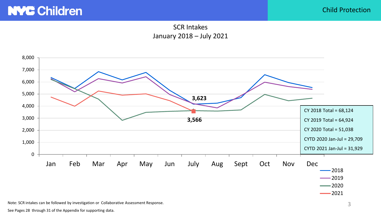Child Protection

### SCR Intakes January 2018 – July 2021



Note: SCR intakes can be followed by investigation or Collaborative Assessment Response.

See Pages 28 through 31 of the Appendix for supporting data.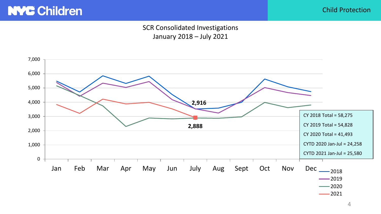Child Protection

### SCR Consolidated Investigations January 2018 – July 2021



4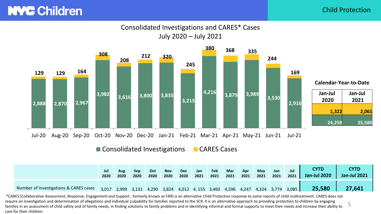#### Child Protection

### Consolidated Investigations and CARES\* Cases July 2020 – July 2021



Number of Investigations & CARES cases 3,017 2,999 3,131 4,290 3,824 4,012 4, 155 3,460 4,596 4,247 4,324 3,774 3,085 **25,580 27,641**

5 \*CARES (Collaborative Assessment, Response, Engagement and Support , formerly known as FAR) is an alternative Child Protective response to some reports of child maltreatment. CARES does not require an investigation and determination of allegations and individual culpability for families reported to the SCR. It is an alternative approach to providing protection to children by engaging families in an assessment of child safety and of family needs, in finding solutions to family problems and in identifying informal and formal supports to meet their needs and increase their ability to care for their children.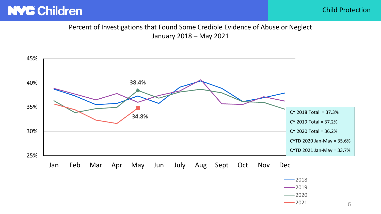#### Child Protection

## Percent of Investigations that Found Some Credible Evidence of Abuse or Neglect January 2018 – May 2021





6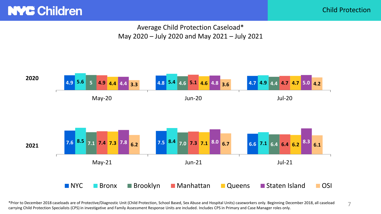Child Protection

7

## Average Child Protection Caseload\* May 2020 – July 2020 and May 2021 – July 2021



\*Prior to December 2018 caseloads are of Protective/Diagnostic Unit (Child Protection, School Based, Sex Abuse and Hospital Units) caseworkers only. Beginning December 2018, all caseload carrying Child Protection Specialists (CPS) in investigative and Family Assessment Response Units are included. Includes CPS in Primary and Case Manager roles only.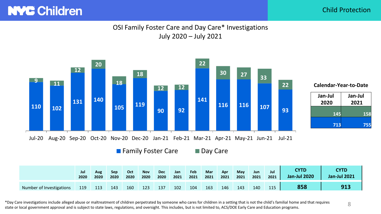Child Protection

8

### OSI Family Foster Care and Day Care\* Investigations July 2020 – July 2021



\*Day Care investigations include alleged abuse or maltreatment of children perpetrated by someone who cares for children in a setting that is not the child's familial home and that requires state or local government approval and is subject to state laws, regulations, and oversight. This includes, but is not limited to, ACS/DOE Early Care and Education programs.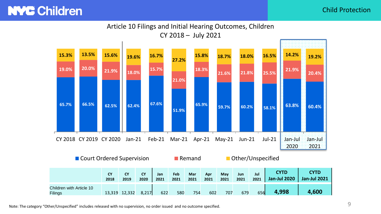#### Child Protection

#### Article 10 Filings and Initial Hearing Outcomes, Children CY 2018 – July 2021



Note: The category "Other/Unspecified" includes released with no supervision, no order issued and no outcome specified.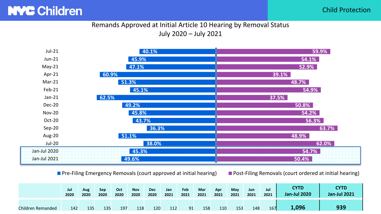Child Protection

### Remands Approved at Initial Article 10 Hearing by Removal Status July 2020 – July 2021



**Pre-Filing Emergency Removals (court approved at initial hearing)** Post-Filing Removals (court ordered at initial hearing)

|                   | Jul  | Aug  | Sep  | Oct  | <b>Nov</b> | <b>Dec</b> | Jan  | Feb                  | Mar  | <b>Apr</b> | May  | Jun  | Jul  | CYTD                | <b>CYTD</b>         |
|-------------------|------|------|------|------|------------|------------|------|----------------------|------|------------|------|------|------|---------------------|---------------------|
|                   | 2020 | 2020 | 2020 | 2020 | 2020       | 2020       | 2021 | 2021                 | 2021 | 2021       | 2021 | 2021 | 2021 | <b>Jan-Jul 2020</b> | <b>Jan-Jul 2021</b> |
| Children Remanded | 142  | 135  | 135  | 197  | 118        | 120        | 112  | Q <sub>1</sub><br>-- | 158  | 110        | 153  | 148  | 167  | 1,096               | 939                 |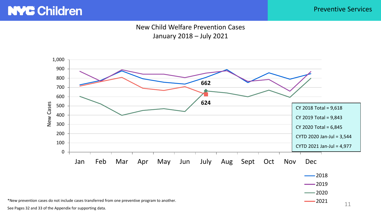Preventive Services

### New Child Welfare Prevention Cases January 2018 – July 2021



See Pages 32 and 33 of the Appendix for supporting data.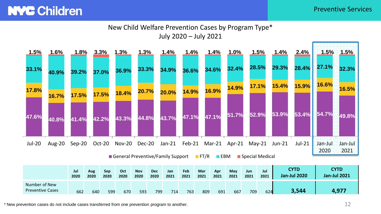#### Preventive Services

## New Child Welfare Prevention Cases by Program Type\* July 2020 – July 2021

| 1.5%   | <u>1.6%</u> | $1.8\%$     |             | 3.3%        | 1.3%                              | <u>1.3%</u>        |                    | <u>1.4%</u> | <u>1.4%</u> |                     | 1.4%               | <u>1.0%</u>                        | <u>1.5%</u>     |             | <u>1.4%</u> | 2.4%                               | 1.5%                | 1.5%            |
|--------|-------------|-------------|-------------|-------------|-----------------------------------|--------------------|--------------------|-------------|-------------|---------------------|--------------------|------------------------------------|-----------------|-------------|-------------|------------------------------------|---------------------|-----------------|
| 33.1%  | 40.9%       | 39.2%       |             | 37.0%       | 36.9%                             | 33.3%              |                    | 34.9%       | 36.6%       |                     | 34.6%              | 32.4%                              | 28.5%           |             | 29.3%       | 28.4%                              | 27.1%               | 32.3%           |
| 17.8%  | 16.7%       | 17.5%       |             | 17.5%       | 18.4%                             | 20.7%              |                    | 20.0%       | 14.9%       |                     | 16.9%              | 14.9%                              | 17.1%           |             | 15.4%       | 15.9%                              | 16.6%               | 16.5%           |
| 47.6%  | 40.8%       | 41.4%       |             | 42.2%       | 43.3%                             | 44.8%              |                    | 43.7%       | 47.1%       |                     | 47.1%              | 51.7%                              | 52.9%           |             | 53.9%       | 53.4%                              | 54.7%               | 49.8%           |
| Jul-20 | Aug-20      | Sep-20      |             | Oct-20      | Nov-20 Dec-20                     |                    |                    | Jan-21      |             |                     |                    | Feb-21 Mar-21 Apr-21 May-21 Jun-21 |                 |             |             | Jul-21                             | Jan-Jul<br>2020     | Jan-Jul<br>2021 |
|        |             |             |             |             | General Preventive/Family Support |                    |                    |             |             | $\blacksquare$ FT/R | $\blacksquare$ EBM |                                    | Special Medical |             |             |                                    |                     |                 |
|        |             | Jul<br>2020 | Aug<br>2020 | Sep<br>2020 | Oct<br>2020                       | <b>Nov</b><br>2020 | <b>Dec</b><br>2020 | Jan<br>2021 | Feb<br>2021 | Mar<br>2021         | Apr<br>2021        | May<br>2021                        | Jun<br>2021     | Jul<br>2021 |             | <b>CYTD</b><br><b>Jan-Jul 2020</b> | <b>Jan-Jul 2021</b> | <b>CYTD</b>     |

Number of New Preventive Cases 662 640 599 670 593 799 714 763 809 691 667 709 624 **3,544 4,977**

\* New prevention cases do not include cases transferred from one prevention program to another.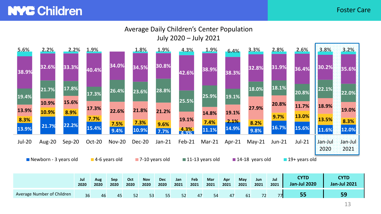#### Foster Care

#### Average Daily Children's Center Population July 2020 – July 2021

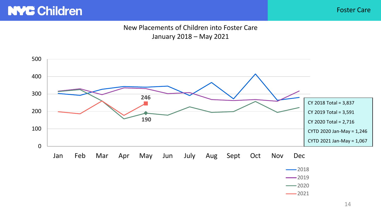Foster Care

### New Placements of Children into Foster Care January 2018 – May 2021



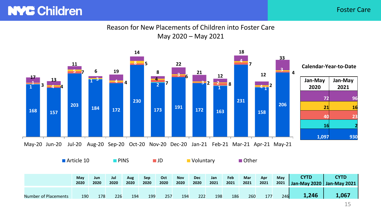#### Foster Care

### Reason for New Placements of Children into Foster Care May 2020 – May 2021



|                             | May<br>2020 | Jun<br>2020 | Jul<br>2020 | Aug<br>2020 | Sep<br>2020 | Oct<br>2020 | <b>Nov</b><br>2020 | <b>Dec</b><br>2020 | Jan<br>2021 | Feb<br>2021 | Mar<br>2021 | Apr<br>2021 | May<br>2021 | <b>CYTD</b><br>  Jan-Mav 2020   Jan-Mav 2021 | <b>CYTD</b> |
|-----------------------------|-------------|-------------|-------------|-------------|-------------|-------------|--------------------|--------------------|-------------|-------------|-------------|-------------|-------------|----------------------------------------------|-------------|
| <b>Number of Placements</b> | 190         | 178         | 226         | 194         | 199         | 257         | 194                | 222                | 198         | 186         | 260         | 177         | 246         | 1,246                                        | 1,067       |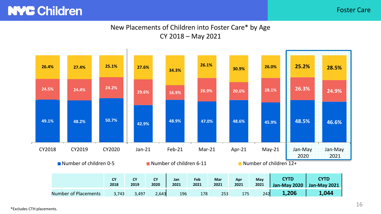#### Foster Care

### New Placements of Children into Foster Care\* by Age CY 2018 – May 2021

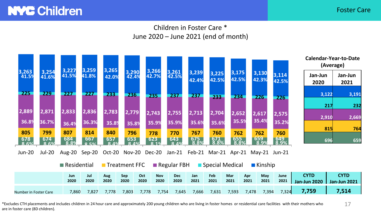## Children in Foster Care \* June 2020 – June 2021 (end of month)

|                |                |                            |                           |                |                                                                              |                |                            |                 |                     |                                             |                        |                                                                     | Calendar-Year-to-Date<br>(Average) |                 |
|----------------|----------------|----------------------------|---------------------------|----------------|------------------------------------------------------------------------------|----------------|----------------------------|-----------------|---------------------|---------------------------------------------|------------------------|---------------------------------------------------------------------|------------------------------------|-----------------|
| 3,263<br>41.5% | 3,254<br>41.6% | 3,227<br>41.5%             | 3,259<br>41.8%            | 3,265<br>42.0% | 3,290<br>42.4%                                                               | 3,266<br>42.7% | 3,261<br>42.5%             | 3,239 <br>42.4% | 3,225<br>42.5%      | 3,175<br>42.5%                              | 3,130<br>42.3%         | 3,114<br>42.5%                                                      | Jan-Jun<br>2020                    | Jan-Jun<br>2021 |
| 225            | 229            | 227                        | 227                       | 233            | $236 -$                                                                      | 235            | 237                        | 237             | 233                 | 234                                         | 226                    | 226                                                                 | 3,122                              | 3,191           |
|                |                |                            |                           |                |                                                                              |                |                            |                 |                     |                                             |                        |                                                                     | 217                                | 232             |
| 2,889          | 2,871          | 2,833                      | 2,836                     | 2,783          | 2,779                                                                        | 2,743          | 2,755                      | 2,713           | 2,704               | 2,652                                       | 2,617                  | 2,575                                                               |                                    |                 |
| 36.8%          | 36.7%          | 36.4%                      | 36.3%                     | 35.89          | 35.8%                                                                        | 35.9%          | 35.9%                      | 35.6%           | 35.6%               | 35.5%                                       | 35.4%                  | 35.2%                                                               | 2,910                              | 2,669           |
| 805            | 799            | 807                        | 814                       | 840            | 796                                                                          | 778            | 770                        | 767             | 760                 | 762                                         | 762                    | 760                                                                 | 815                                | 764             |
| 678<br>8.6%    | 674<br>8.6%    | 684<br>8.8%                | <b>667</b><br><b>R</b> 5% | 657<br>8.4%    | 653<br>8.4%                                                                  | 623<br>8.1%    | 643<br>8.4%                | 675<br>8.8%     | $\frac{671}{8.8\%}$ | $\begin{array}{c} 655 \\ 8.8\% \end{array}$ | 659<br>8.9%            | $\begin{array}{ c c }\n\hline\n649 \\ 8.9\% \\ \hline\n\end{array}$ | 696                                | 659             |
| Jun-20         | Jul-20         |                            |                           |                | Aug-20 Sep-20 Oct-20 Nov-20 Dec-20 Jan-21 Feb-21 Mar-21 Apr-21 May-21 Jun-21 |                |                            |                 |                     |                                             |                        |                                                                     |                                    |                 |
|                |                | $\blacksquare$ Residential |                           |                | <b>■</b> Treatment FFC                                                       |                | $\blacksquare$ Regular FBH |                 | Special Medical     |                                             | $\blacksquare$ Kinship |                                                                     |                                    |                 |

|                       | Jun   | Jul   | Aug   | Sep   | Oct   | <b>Nov</b> | Dec   | Jan   | Feb   | Mar   | Apr   | May   | June  | <b>CYTD</b>         | <b>CYTD</b>         |
|-----------------------|-------|-------|-------|-------|-------|------------|-------|-------|-------|-------|-------|-------|-------|---------------------|---------------------|
|                       | 2020  | 2020  | 2020  | 2020  | 2020  | 2020       | 2020  | 2021  | 2021  | 2021  | 2021  | 2021  | 2021  | <b>Jan-Jun 2020</b> | <b>Jan-Jun 2021</b> |
| Number in Foster Care | 7,860 | 7.827 | 7.778 | 7,803 | 7.778 | /0.754     | 7,645 | 7,666 | 7,631 | 7,593 | 7.478 | 7,394 | 7,324 | 7,759               | 7,514               |

\*Excludes CTH placements and includes children in 24 hour care and approximately 200 young children who are living in foster homes or residential care facilities with their mothers who are in foster care (8D children).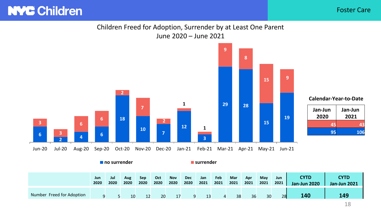Foster Care

### Children Freed for Adoption, Surrender by at Least One Parent June 2020 – June 2021



|                           | Jun  | Jul  | Aug  | Sep               | Oct  | <b>Nov</b> | <b>Dec</b> | Jan  | Feb  | Mar  | Apr  | May  | Jun  | CYTD                | <b>CYTD</b>         |
|---------------------------|------|------|------|-------------------|------|------------|------------|------|------|------|------|------|------|---------------------|---------------------|
|                           | 2020 | 2020 | 2020 | 2020              | 2020 | 2020       | 2020       | 2021 | 2021 | 2021 | 2021 | 2021 | 2021 | <b>Jan-Jun 2020</b> | <b>Jan-Jun 2021</b> |
| Number Freed for Adoption |      |      | 10   | $12 \overline{ }$ | 20   | 17         |            | 13   |      | 38   | 36   | 30   | 28   | 140                 | 149                 |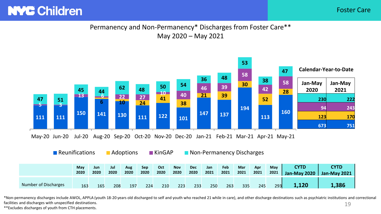### Permanency and Non-Permanency\* Discharges from Foster Care\*\* May 2020 – May 2021



May-20 Jun-20 Jul-20 Aug-20 Sep-20 Oct-20 Nov-20 Dec-20 Jan-21 Feb-21 Mar-21 Apr-21 May-21

**Reunifications Adoptions KingAP Non-Permanency Discharges** 

|                      | May<br>2020 | Jun<br>2020 | Jul<br>2020 | Aug<br>2020 | Sep<br>2020 | Oct<br>2020 | <b>Nov</b><br>2020 | <b>Dec</b><br>2020 | Jan<br>2021 | Feb<br>2021 | Mar<br>2021 | Apr<br>2021 | May<br>2021 | <b>TYTD</b>       | <b>CYTD</b><br>Jan-May 2020   Jan-May 2021 |
|----------------------|-------------|-------------|-------------|-------------|-------------|-------------|--------------------|--------------------|-------------|-------------|-------------|-------------|-------------|-------------------|--------------------------------------------|
| Number of Discharges | 163         | 165         | 208         | 197         | 224         | 210         | 223                | 233                | 250         | 263         | 335         | 245         | 293         | $\frac{1}{1.120}$ | 1,386                                      |

\*Non-permanency discharges include AWOL, APPLA (youth 18-20 years old discharged to self and youth who reached 21 while in care), and other discharge destinations such as psychiatric institutions and correctional facilities and discharges with unspecified destinations. 19

\*\*Excludes discharges of youth from CTH placements.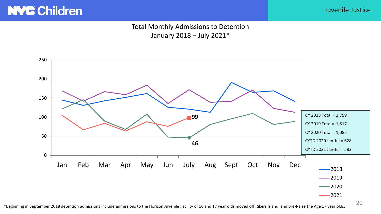Juvenile Justice

### Total Monthly Admissions to Detention January 2018 – July 2021\*



\*Beginning in September 2018 detention admissions include admissions to the Horizon Juvenile Facility of 16 and 17 year olds moved off Rikers Island and pre-Raise the Age 17 year olds.

20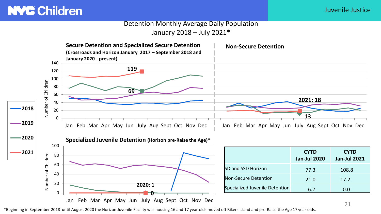#### Detention Monthly Average Daily Population January 2018 – July 2021\*



\*Beginning in September 2018 until August 2020 the Horizon Juvenile Facility was housing 16 and 17 year olds moved off Rikers Island and pre-Raise the Age 17 year olds.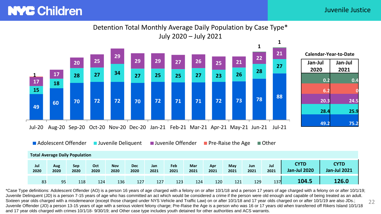#### Juvenile Justice

**2021**

22

# **NYC** Children





|             |             | ■ Adolescent Offender                 |             | <b>Juvenile Deliquent</b> |                    |             | ■ Juvenile Offender |             | <b>Pre-Raise the Age</b> |             |             | $\blacksquare$ Other |                                    |                                    |
|-------------|-------------|---------------------------------------|-------------|---------------------------|--------------------|-------------|---------------------|-------------|--------------------------|-------------|-------------|----------------------|------------------------------------|------------------------------------|
|             |             | <b>Total Average Daily Population</b> |             |                           |                    |             |                     |             |                          |             |             |                      |                                    |                                    |
| Jul<br>2020 | Aug<br>2020 | <b>Sep</b><br>2020                    | Oct<br>2020 | <b>Nov</b><br>2020        | <b>Dec</b><br>2020 | Jan<br>2021 | Feb<br>2021         | Mar<br>2021 | Apr<br>2021              | May<br>2021 | Jun<br>2021 | Jul<br>2021          | <b>CYTD</b><br><b>Jan-Jul 2020</b> | <b>CYTD</b><br><b>Jan-Jul 2021</b> |
| 83          | 95          | 118                                   | 124         | 136                       | 127                | 127         | 123                 | 124         | 120                      | 121         | 129         | <b>137</b>           | 104.5                              | 126.0                              |

\*Case Type definitions: Adolescent Offender (AO) is a person 16 years of age charged with a felony on or after 10/1/18 and a person 17 years of age charged with a felony on or after 10/1/19; Juvenile Delinquent (JD) is a person 7-15 years of age who has committed an act which would be considered a crime if the person were old enough and capable of being treated as an adult. Sixteen year olds charged with a misdemeanor (except those charged under NYS Vehicle and Traffic Law) on or after 10/1/18 and 17 year olds charged on or after 10/1/19 are also JDs.; Juvenile Offender (JO) a person 13-15 years of age with a serious violent felony charge; Pre-Raise the Age is a person who was 16 or 17 years old when transferred off Rikers Island 10/1/18 and 17 year olds charged with crimes 10/1/18- 9/30/19; and Other case type includes youth detained for other authorities and ACS warrants.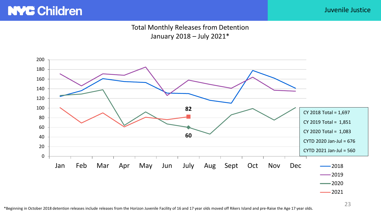Juvenile Justice

### Total Monthly Releases from Detention January 2018 – July 2021\*

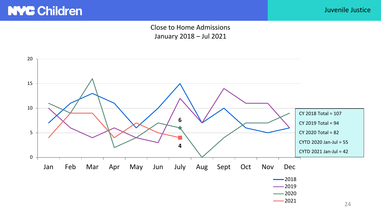Juvenile Justice

### Close to Home Admissions January 2018 – Jul 2021

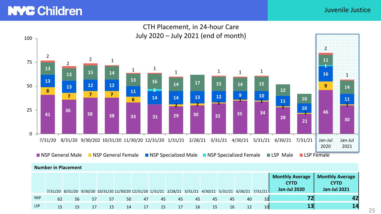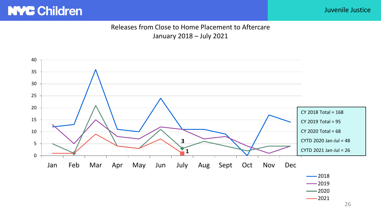Juvenile Justice

## Releases from Close to Home Placement to Aftercare January 2018 – July 2021

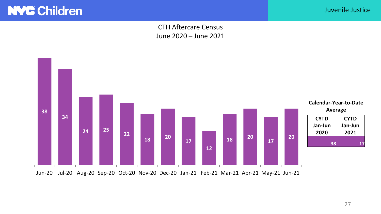

Juvenile Justice

## CTH Aftercare Census June 2020 – June 2021

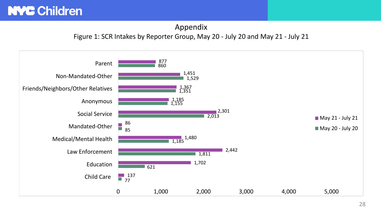

## Appendix

Figure 1: SCR Intakes by Reporter Group, May 20 - July 20 and May 21 - July 21

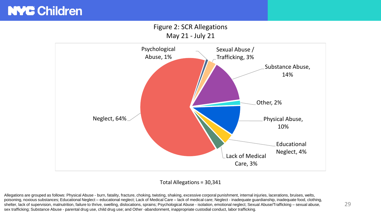Figure 2: SCR Allegations May 21 - July 21



#### Total Allegations = 30,341

Allegations are grouped as follows: Physical Abuse - burn, fatality, fracture, choking, twisting, shaking, excessive corporal punishment, internal injuries, lacerations, bruises, welts, poisoning, noxious substances; Educational Neglect – educational neglect; Lack of Medical Care – lack of medical care; Neglect - inadequate guardianship, inadequate food, clothing, shelter, lack of supervision, malnutrition, failure to thrive, swelling, dislocations, sprains; Psychological Abuse - isolation, emotional neglect; Sexual Abuse/Trafficking – sexual abuse, sex trafficking; Substance Abuse - parental drug use, child drug use; and Other -abandonment, inappropriate custodial conduct, labor trafficking.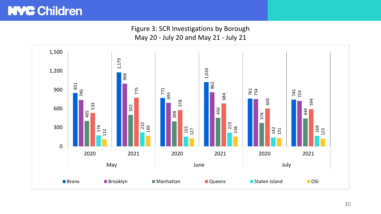Figure 3: SCR Investigations by Borough May 20 - July 20 and May 21 - July 21

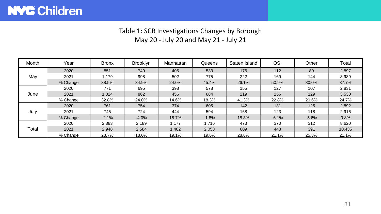## Table 1: SCR Investigations Changes by Borough May 20 - July 20 and May 21 - July 21

| Month | Year     | <b>Bronx</b> | <b>Brooklyn</b> | Manhattan | Queens  | Staten Island | OSI     | Other   | Total  |
|-------|----------|--------------|-----------------|-----------|---------|---------------|---------|---------|--------|
|       | 2020     | 851          | 740             | 405       | 533     | 176           | 112     | 80      | 2,897  |
| May   | 2021     | 1,179        | 998             | 502       | 775     | 222           | 169     | 144     | 3,989  |
|       | % Change | 38.5%        | 34.9%           | 24.0%     | 45.4%   | 26.1%         | 50.9%   | 80.0%   | 37.7%  |
|       | 2020     | 771          | 695             | 398       | 578     | 155           | 127     | 107     | 2,831  |
| June  | 2021     | 1,024        | 862             | 456       | 684     | 219           | 156     | 129     | 3,530  |
|       | % Change | 32.8%        | 24.0%           | 14.6%     | 18.3%   | 41.3%         | 22.8%   | 20.6%   | 24.7%  |
|       | 2020     | 761          | 754             | 374       | 605     | 142           | 131     | 125     | 2,892  |
| July  | 2021     | 745          | 724             | 444       | 594     | 168           | 123     | 118     | 2,916  |
|       | % Change | $-2.1%$      | $-4.0%$         | 18.7%     | $-1.8%$ | 18.3%         | $-6.1%$ | $-5.6%$ | 0.8%   |
|       | 2020     | 2,383        | 2.189           | 1.177     | 1,716   | 473           | 370     | 312     | 8,620  |
| Total | 2021     | 2,948        | 2,584           | 1,402     | 2,053   | 609           | 448     | 391     | 10,435 |
|       | % Change | 23.7%        | 18.0%           | 19.1%     | 19.6%   | 28.8%         | 21.1%   | 25.3%   | 21.1%  |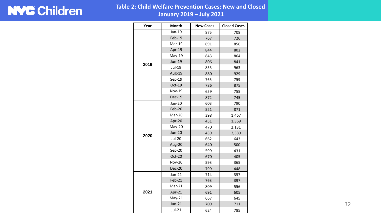**Table 2: Child Welfare Prevention Cases: New and Closed January 2019 – July 2021**

| Year | <b>Month</b>  | <b>New Cases</b> | <b>Closed Cases</b> |
|------|---------------|------------------|---------------------|
|      | $Jan-19$      | 875              | 708                 |
|      | Feb-19        | 767              | 726                 |
|      | <b>Mar-19</b> | 891              | 856                 |
|      | Apr-19        | 844              | 802                 |
|      | May-19        | 843              | 864                 |
| 2019 | Jun-19        | 806              | 841                 |
|      | Jul-19        | 855              | 963                 |
|      | Aug-19        | 880              | 929                 |
|      | $Sep-19$      | 765              | 759                 |
|      | Oct-19        | 786              | 875                 |
|      | <b>Nov-19</b> | 659              | 755                 |
|      | <b>Dec-19</b> | 872              | 745                 |
|      | Jan-20        | 603              | 790                 |
|      | Feb-20        | 521              | 871                 |
|      | Mar-20        | 398              | 1,467               |
|      | Apr-20        | 451              | 1,369               |
|      | May-20        | 470              | 2,131               |
| 2020 | <b>Jun-20</b> | 439              | 2,389               |
|      | Jul-20        | 662              | 643                 |
|      | <b>Aug-20</b> | 640              | 500                 |
|      | $Sep-20$      | 599              | 431                 |
|      | Oct-20        | 670              | 405                 |
|      | <b>Nov-20</b> | 593              | 365                 |
|      | <b>Dec-20</b> | 799              | 448                 |
|      | $Jan-21$      | 714              | 357                 |
|      | Feb-21        | 763              | 397                 |
|      | $Mar-21$      | 809              | 556                 |
| 2021 | Apr-21        | 691              | 605                 |
|      | $May-21$      | 667              | 645                 |
|      | $Jun-21$      | 709              | 711                 |
|      | $Jul-21$      | 624              | 785                 |

32